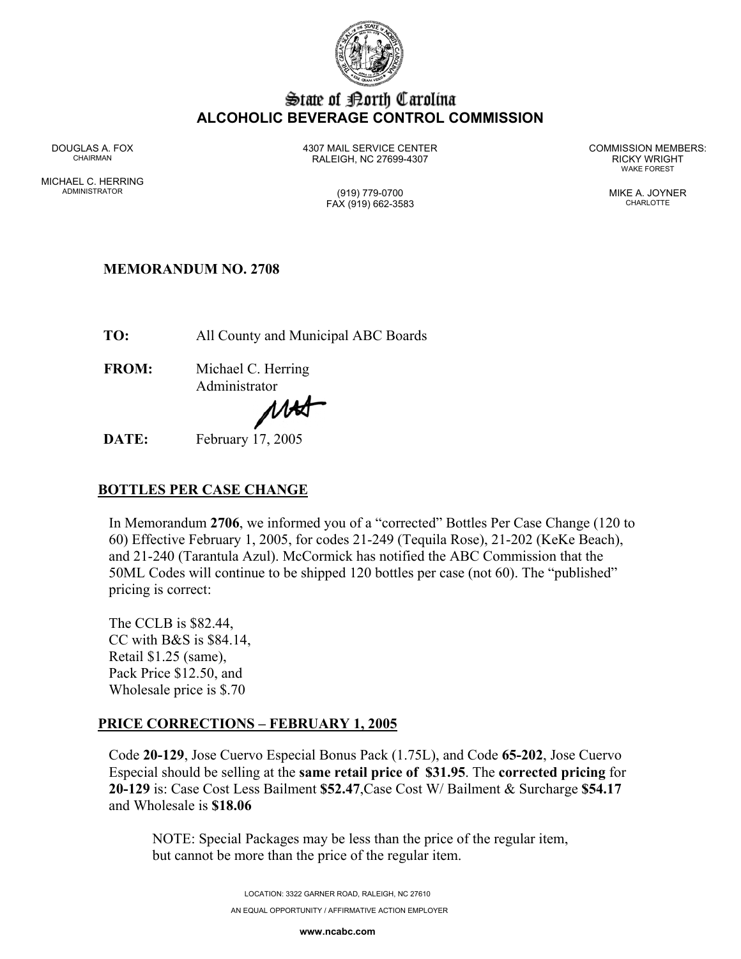

# State of Borth Carolina **ALCOHOLIC BEVERAGE CONTROL COMMISSION**

MICHAEL C. HERRING ADMINISTRATOR (919) 779-0700 MIKE A. JOYNER

DOUGLAS A. FOX 4307 MAIL SERVICE CENTER COMMISSION MEMBERS: CHAIRMAN RALEIGH, NC 27699-4307 RICKY WRIGHT

WAKE FOREST

FAX (919) 662-3583 CHARLOTTE

## **MEMORANDUM NO. 2708**

**TO:** All County and Municipal ABC Boards

**FROM:** Michael C. Herring Administrator

MH

**DATE:** February 17, 2005

# **BOTTLES PER CASE CHANGE**

In Memorandum **2706**, we informed you of a "corrected" Bottles Per Case Change (120 to 60) Effective February 1, 2005, for codes 21-249 (Tequila Rose), 21-202 (KeKe Beach), and 21-240 (Tarantula Azul). McCormick has notified the ABC Commission that the 50ML Codes will continue to be shipped 120 bottles per case (not 60). The "published" pricing is correct:

The CCLB is \$82.44, CC with B&S is \$84.14, Retail \$1.25 (same), Pack Price \$12.50, and Wholesale price is \$.70

# **PRICE CORRECTIONS – FEBRUARY 1, 2005**

Code **20-129**, Jose Cuervo Especial Bonus Pack (1.75L), and Code **65-202**, Jose Cuervo Especial should be selling at the **same retail price of \$31.95**. The **corrected pricing** for **20-129** is: Case Cost Less Bailment **\$52.47**,Case Cost W/ Bailment & Surcharge **\$54.17** and Wholesale is **\$18.06**

NOTE: Special Packages may be less than the price of the regular item, but cannot be more than the price of the regular item.

> LOCATION: 3322 GARNER ROAD, RALEIGH, NC 27610 AN EQUAL OPPORTUNITY / AFFIRMATIVE ACTION EMPLOYER